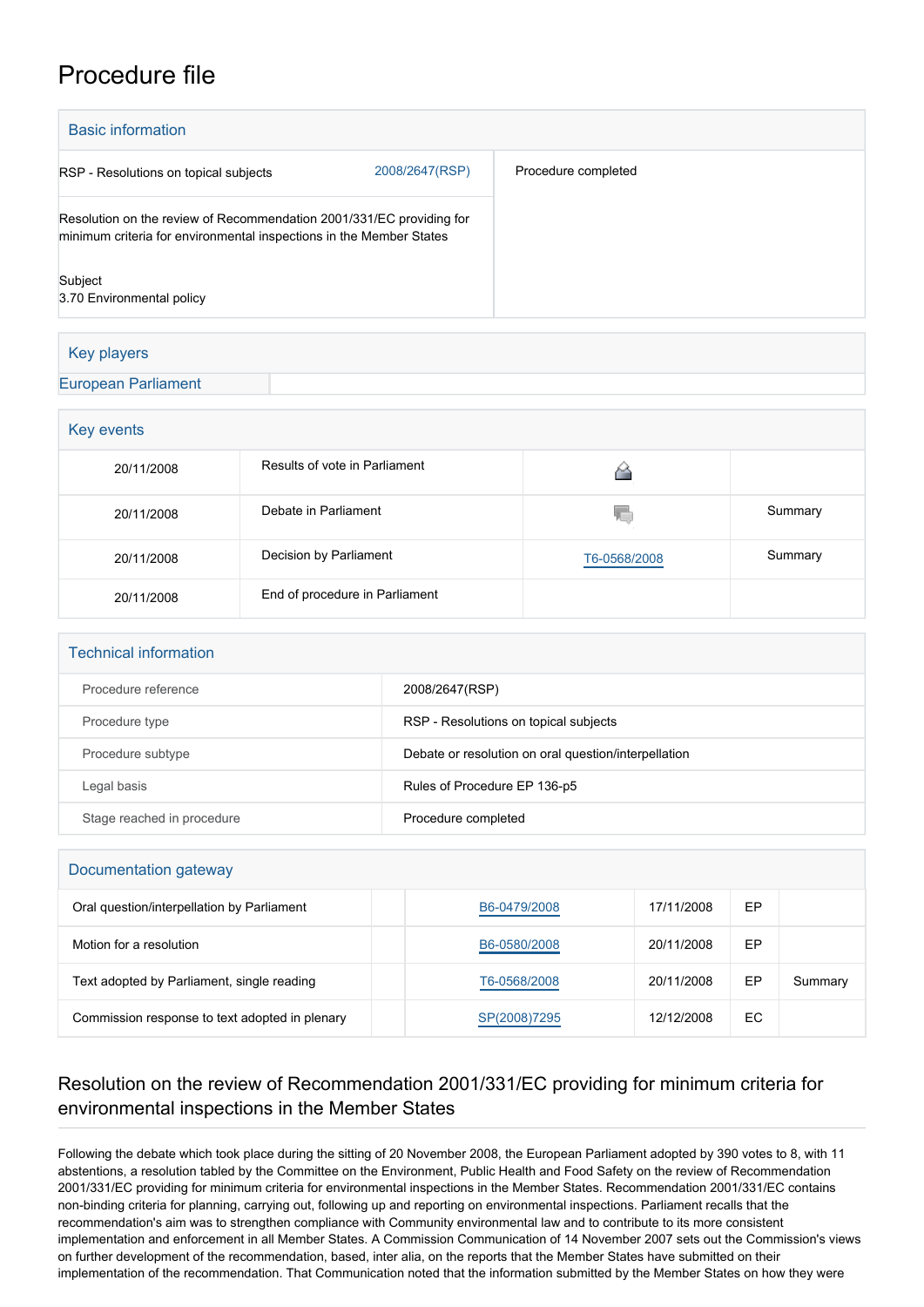## Procedure file

| <b>Basic information</b>                                                                                                                    |                |                     |  |  |
|---------------------------------------------------------------------------------------------------------------------------------------------|----------------|---------------------|--|--|
| RSP - Resolutions on topical subjects                                                                                                       | 2008/2647(RSP) | Procedure completed |  |  |
| Resolution on the review of Recommendation 2001/331/EC providing for<br>minimum criteria for environmental inspections in the Member States |                |                     |  |  |
| Subject<br>3.70 Environmental policy                                                                                                        |                |                     |  |  |
|                                                                                                                                             |                |                     |  |  |
| Key players                                                                                                                                 |                |                     |  |  |
| <b>European Parliament</b>                                                                                                                  |                |                     |  |  |

| Key events |                                |              |         |  |  |  |
|------------|--------------------------------|--------------|---------|--|--|--|
| 20/11/2008 | Results of vote in Parliament  |              |         |  |  |  |
| 20/11/2008 | Debate in Parliament           | ۷C           | Summary |  |  |  |
| 20/11/2008 | Decision by Parliament         | T6-0568/2008 | Summary |  |  |  |
| 20/11/2008 | End of procedure in Parliament |              |         |  |  |  |

| <b>Technical information</b> |                                                      |  |  |  |
|------------------------------|------------------------------------------------------|--|--|--|
| Procedure reference          | 2008/2647(RSP)                                       |  |  |  |
| Procedure type               | RSP - Resolutions on topical subjects                |  |  |  |
| Procedure subtype            | Debate or resolution on oral question/interpellation |  |  |  |
| Legal basis                  | Rules of Procedure EP 136-p5                         |  |  |  |
| Stage reached in procedure   | Procedure completed                                  |  |  |  |

| Documentation gateway                          |              |            |    |         |  |  |
|------------------------------------------------|--------------|------------|----|---------|--|--|
| Oral question/interpellation by Parliament     | B6-0479/2008 | 17/11/2008 | ЕP |         |  |  |
| Motion for a resolution                        | B6-0580/2008 | 20/11/2008 | EP |         |  |  |
| Text adopted by Parliament, single reading     | T6-0568/2008 | 20/11/2008 | EP | Summary |  |  |
| Commission response to text adopted in plenary | SP(2008)7295 | 12/12/2008 | EС |         |  |  |

## Resolution on the review of Recommendation 2001/331/EC providing for minimum criteria for environmental inspections in the Member States

Following the debate which took place during the sitting of 20 November 2008, the European Parliament adopted by 390 votes to 8, with 11 abstentions, a resolution tabled by the Committee on the Environment, Public Health and Food Safety on the review of Recommendation 2001/331/EC providing for minimum criteria for environmental inspections in the Member States. Recommendation 2001/331/EC contains non-binding criteria for planning, carrying out, following up and reporting on environmental inspections. Parliament recalls that the recommendation's aim was to strengthen compliance with Community environmental law and to contribute to its more consistent implementation and enforcement in all Member States. A Commission Communication of 14 November 2007 sets out the Commission's views on further development of the recommendation, based, inter alia, on the reports that the Member States have submitted on their implementation of the recommendation. That Communication noted that the information submitted by the Member States on how they were